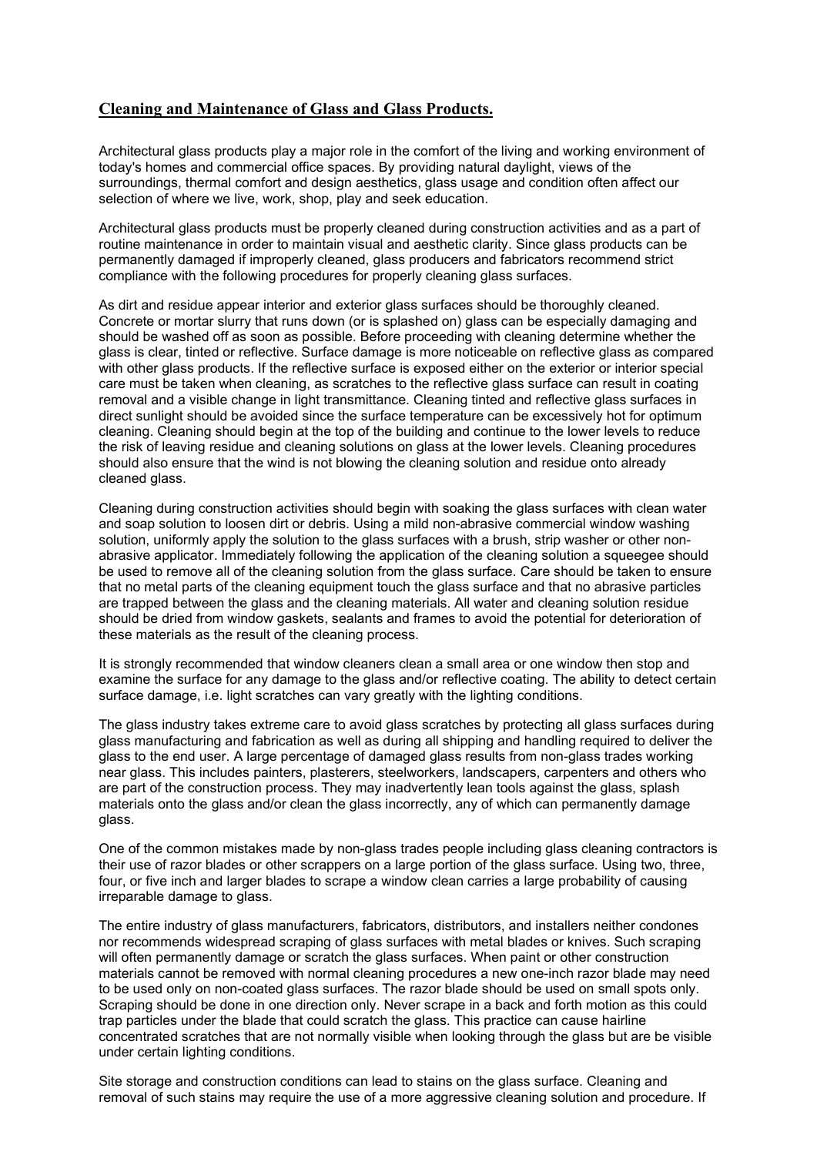## Cleaning and Maintenance of Glass and Glass Products.

Architectural glass products play a major role in the comfort of the living and working environment of today's homes and commercial office spaces. By providing natural daylight, views of the surroundings, thermal comfort and design aesthetics, glass usage and condition often affect our selection of where we live, work, shop, play and seek education.

Architectural glass products must be properly cleaned during construction activities and as a part of routine maintenance in order to maintain visual and aesthetic clarity. Since glass products can be permanently damaged if improperly cleaned, glass producers and fabricators recommend strict compliance with the following procedures for properly cleaning glass surfaces.

As dirt and residue appear interior and exterior glass surfaces should be thoroughly cleaned. Concrete or mortar slurry that runs down (or is splashed on) glass can be especially damaging and should be washed off as soon as possible. Before proceeding with cleaning determine whether the glass is clear, tinted or reflective. Surface damage is more noticeable on reflective glass as compared with other glass products. If the reflective surface is exposed either on the exterior or interior special care must be taken when cleaning, as scratches to the reflective glass surface can result in coating removal and a visible change in light transmittance. Cleaning tinted and reflective glass surfaces in direct sunlight should be avoided since the surface temperature can be excessively hot for optimum cleaning. Cleaning should begin at the top of the building and continue to the lower levels to reduce the risk of leaving residue and cleaning solutions on glass at the lower levels. Cleaning procedures should also ensure that the wind is not blowing the cleaning solution and residue onto already cleaned glass.

Cleaning during construction activities should begin with soaking the glass surfaces with clean water and soap solution to loosen dirt or debris. Using a mild non-abrasive commercial window washing solution, uniformly apply the solution to the glass surfaces with a brush, strip washer or other nonabrasive applicator. Immediately following the application of the cleaning solution a squeegee should be used to remove all of the cleaning solution from the glass surface. Care should be taken to ensure that no metal parts of the cleaning equipment touch the glass surface and that no abrasive particles are trapped between the glass and the cleaning materials. All water and cleaning solution residue should be dried from window gaskets, sealants and frames to avoid the potential for deterioration of these materials as the result of the cleaning process.

It is strongly recommended that window cleaners clean a small area or one window then stop and examine the surface for any damage to the glass and/or reflective coating. The ability to detect certain surface damage, i.e. light scratches can vary greatly with the lighting conditions.

The glass industry takes extreme care to avoid glass scratches by protecting all glass surfaces during glass manufacturing and fabrication as well as during all shipping and handling required to deliver the glass to the end user. A large percentage of damaged glass results from non-glass trades working near glass. This includes painters, plasterers, steelworkers, landscapers, carpenters and others who are part of the construction process. They may inadvertently lean tools against the glass, splash materials onto the glass and/or clean the glass incorrectly, any of which can permanently damage glass.

One of the common mistakes made by non-glass trades people including glass cleaning contractors is their use of razor blades or other scrappers on a large portion of the glass surface. Using two, three, four, or five inch and larger blades to scrape a window clean carries a large probability of causing irreparable damage to glass.

The entire industry of glass manufacturers, fabricators, distributors, and installers neither condones nor recommends widespread scraping of glass surfaces with metal blades or knives. Such scraping will often permanently damage or scratch the glass surfaces. When paint or other construction materials cannot be removed with normal cleaning procedures a new one-inch razor blade may need to be used only on non-coated glass surfaces. The razor blade should be used on small spots only. Scraping should be done in one direction only. Never scrape in a back and forth motion as this could trap particles under the blade that could scratch the glass. This practice can cause hairline concentrated scratches that are not normally visible when looking through the glass but are be visible under certain lighting conditions.

Site storage and construction conditions can lead to stains on the glass surface. Cleaning and removal of such stains may require the use of a more aggressive cleaning solution and procedure. If